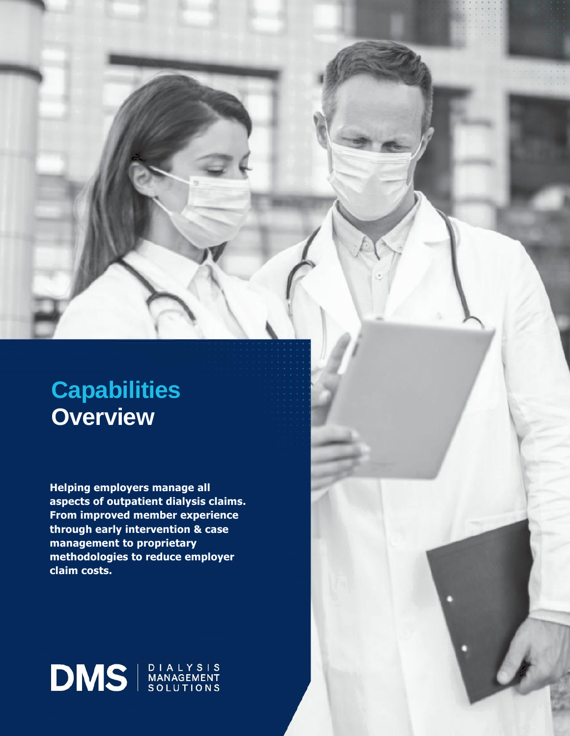# **Capabilities Overview**

**Helping employers manage all aspects of outpatient dialysis claims. From improved member experience through early intervention & case management to proprietary methodologies to reduce employer claim costs.** 

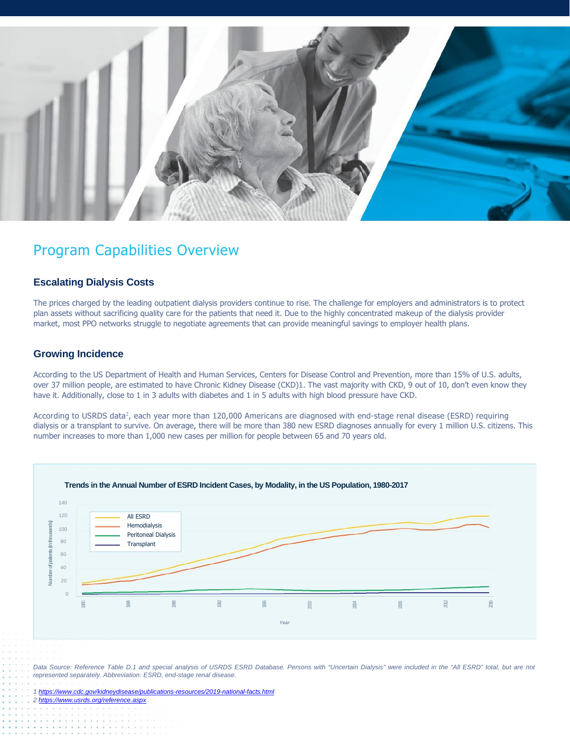

## Program Capabilities Overview

#### **Escalating Dialysis Costs**

The prices charged by the leading outpatient dialysis providers continue to rise. The challenge for employers and administrators is to protect plan assets without sacrificing quality care for the patients that need it. Due to the highly concentrated makeup of the dialysis provider market, most PPO networks struggle to negotiate agreements that can provide meaningful savings to employer health plans.

#### **Growing Incidence**

According to the US Department of Health and Human Services, Centers for Disease Control and Prevention, more than 15% of U.S. adults, over 37 million people, are estimated to have Chronic Kidney Disease (CKD)1. The vast majority with CKD, 9 out of 10, don't even know they have it. Additionally, close to 1 in 3 adults with diabetes and 1 in 5 adults with high blood pressure have CKD.

According to USRDS data<sup>2</sup>, each year more than 120,000 Americans are diagnosed with end-stage renal disease (ESRD) requiring dialysis or a transplant to survive. On average, there will be more than 380 new ESRD diagnoses annually for every 1 million U.S. citizens. This number increases to more than 1,000 new cases per million for people between 65 and 70 years old.



Data Source: Reference Table D.1 and special analysis of USRDS ESRD Database. Persons with "Uncertain Dialysis" were included in the "All ESRD" total, but are not *represented separately. Abbreviation: ESRD, end-stage renal disease.* 

*1 https://www.cdc.gov/kidneydisease/publications-resources/2019-national-facts.html 2 https://www.usrds.org/reference.aspx*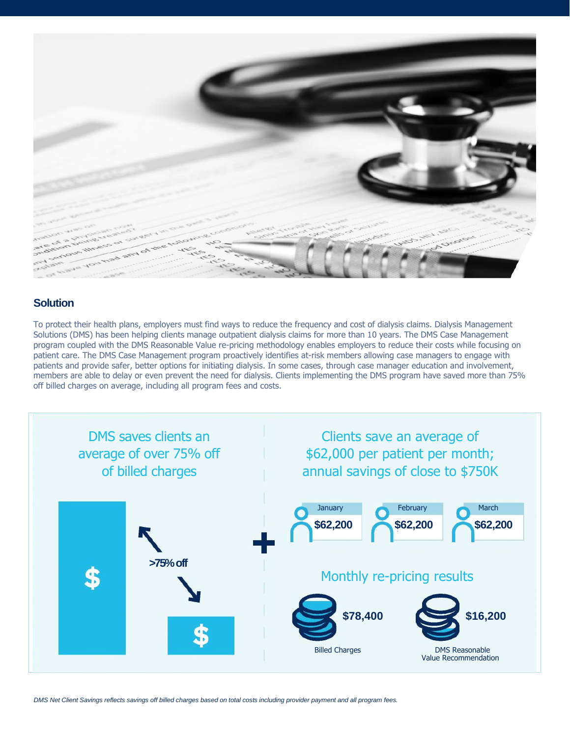

### **Solution**

To protect their health plans, employers must find ways to reduce the frequency and cost of dialysis claims. Dialysis Management Solutions (DMS) has been helping clients manage outpatient dialysis claims for more than 10 years. The DMS Case Management program coupled with the DMS Reasonable Value re-pricing methodology enables employers to reduce their costs while focusing on patient care. The DMS Case Management program proactively identifies at-risk members allowing case managers to engage with patients and provide safer, better options for initiating dialysis. In some cases, through case manager education and involvement, members are able to delay or even prevent the need for dialysis. Clients implementing the DMS program have saved more than 75% off billed charges on average, including all program fees and costs.

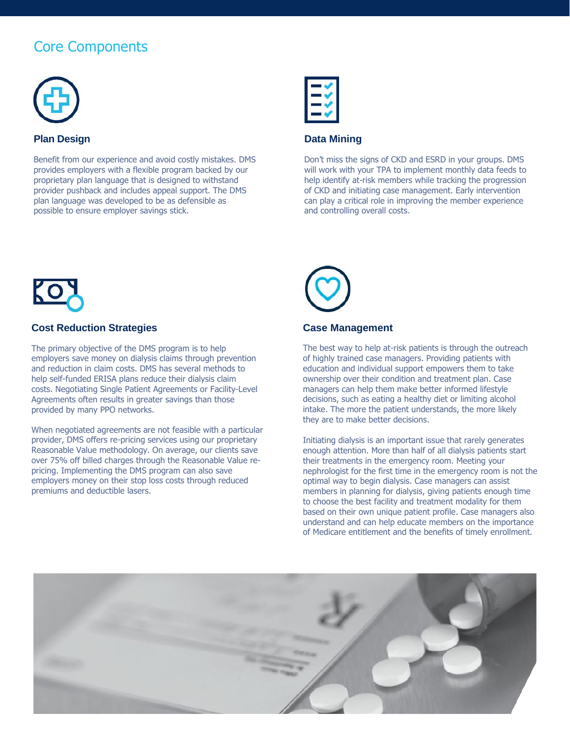# Core Components



#### **Plan Design**

Benefit from our experience and avoid costly mistakes. DMS provides employers with a flexible program backed by our proprietary plan language that is designed to withstand provider pushback and includes appeal support. The DMS plan language was developed to be as defensible as possible to ensure employer savings stick.



#### **Data Mining**

Don't miss the signs of CKD and ESRD in your groups. DMS will work with your TPA to implement monthly data feeds to help identify at-risk members while tracking the progression of CKD and initiating case management. Early intervention can play a critical role in improving the member experience and controlling overall costs.



#### **Cost Reduction Strategies**

The primary objective of the DMS program is to help employers save money on dialysis claims through prevention and reduction in claim costs. DMS has several methods to help self-funded ERISA plans reduce their dialysis claim costs. Negotiating Single Patient Agreements or Facility-Level Agreements often results in greater savings than those provided by many PPO networks.

When negotiated agreements are not feasible with a particular provider, DMS offers re-pricing services using our proprietary Reasonable Value methodology. On average, our clients save over 75% off billed charges through the Reasonable Value repricing. Implementing the DMS program can also save employers money on their stop loss costs through reduced premiums and deductible lasers.



#### **Case Management**

The best way to help at-risk patients is through the outreach of highly trained case managers. Providing patients with education and individual support empowers them to take ownership over their condition and treatment plan. Case managers can help them make better informed lifestyle decisions, such as eating a healthy diet or limiting alcohol intake. The more the patient understands, the more likely they are to make better decisions.

Initiating dialysis is an important issue that rarely generates enough attention. More than half of all dialysis patients start their treatments in the emergency room. Meeting your nephrologist for the first time in the emergency room is not the optimal way to begin dialysis. Case managers can assist members in planning for dialysis, giving patients enough time to choose the best facility and treatment modality for them based on their own unique patient profile. Case managers also understand and can help educate members on the importance of Medicare entitlement and the benefits of timely enrollment.

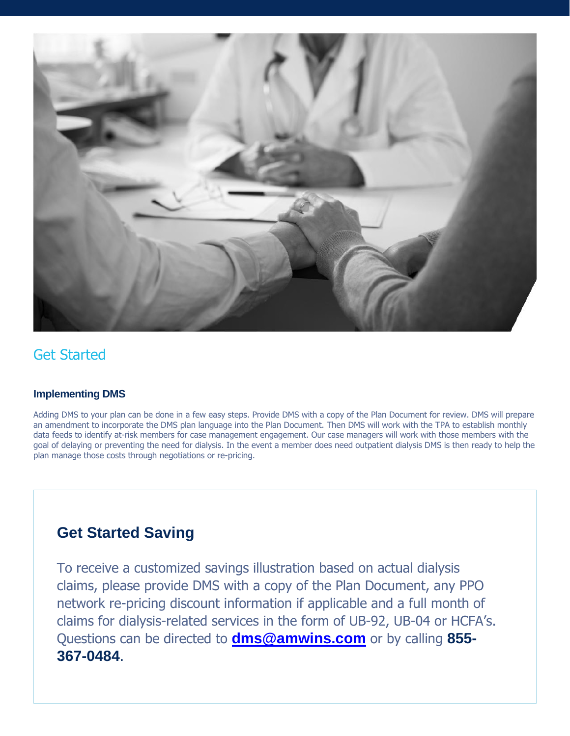

### Get Started

### **Implementing DMS**

Adding DMS to your plan can be done in a few easy steps. Provide DMS with a copy of the Plan Document for review. DMS will prepare an amendment to incorporate the DMS plan language into the Plan Document. Then DMS will work with the TPA to establish monthly data feeds to identify at-risk members for case management engagement. Our case managers will work with those members with the goal of delaying or preventing the need for dialysis. In the event a member does need outpatient dialysis DMS is then ready to help the plan manage those costs through negotiations or re-pricing.

## **Get Started Saving**

To receive a customized savings illustration based on actual dialysis claims, please provide DMS with a copy of the Plan Document, any PPO network re-pricing discount information if applicable and a full month of claims for dialysis-related services in the form of UB-92, UB-04 or HCFA's. Questions can be directed to **dms@amwins.com** or by calling **855- 367-0484**.